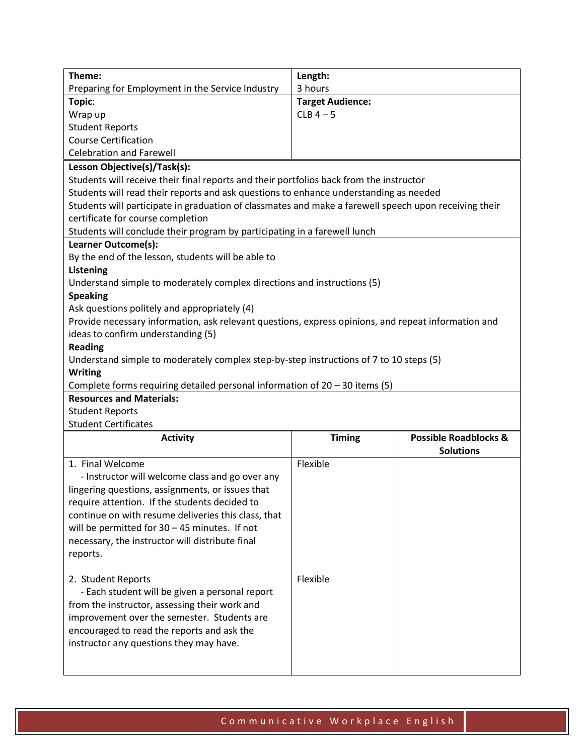| Theme:                                                                                                | Length:                 |                                                      |  |
|-------------------------------------------------------------------------------------------------------|-------------------------|------------------------------------------------------|--|
| Preparing for Employment in the Service Industry                                                      | 3 hours                 |                                                      |  |
| Topic:                                                                                                | <b>Target Audience:</b> |                                                      |  |
| Wrap up                                                                                               | $CLB$ 4 - 5             |                                                      |  |
| <b>Student Reports</b>                                                                                |                         |                                                      |  |
| <b>Course Certification</b>                                                                           |                         |                                                      |  |
| <b>Celebration and Farewell</b>                                                                       |                         |                                                      |  |
| Lesson Objective(s)/Task(s):                                                                          |                         |                                                      |  |
| Students will receive their final reports and their portfolios back from the instructor               |                         |                                                      |  |
| Students will read their reports and ask questions to enhance understanding as needed                 |                         |                                                      |  |
| Students will participate in graduation of classmates and make a farewell speech upon receiving their |                         |                                                      |  |
| certificate for course completion                                                                     |                         |                                                      |  |
| Students will conclude their program by participating in a farewell lunch                             |                         |                                                      |  |
| Learner Outcome(s):                                                                                   |                         |                                                      |  |
| By the end of the lesson, students will be able to                                                    |                         |                                                      |  |
| Listening                                                                                             |                         |                                                      |  |
| Understand simple to moderately complex directions and instructions (5)                               |                         |                                                      |  |
| <b>Speaking</b>                                                                                       |                         |                                                      |  |
| Ask questions politely and appropriately (4)                                                          |                         |                                                      |  |
| Provide necessary information, ask relevant questions, express opinions, and repeat information and   |                         |                                                      |  |
| ideas to confirm understanding (5)                                                                    |                         |                                                      |  |
| <b>Reading</b>                                                                                        |                         |                                                      |  |
| Understand simple to moderately complex step-by-step instructions of 7 to 10 steps (5)                |                         |                                                      |  |
| <b>Writing</b>                                                                                        |                         |                                                      |  |
| Complete forms requiring detailed personal information of $20 - 30$ items (5)                         |                         |                                                      |  |
| <b>Resources and Materials:</b>                                                                       |                         |                                                      |  |
| <b>Student Reports</b>                                                                                |                         |                                                      |  |
| <b>Student Certificates</b>                                                                           |                         |                                                      |  |
| <b>Activity</b>                                                                                       | <b>Timing</b>           | <b>Possible Roadblocks &amp;</b><br><b>Solutions</b> |  |
| 1. Final Welcome                                                                                      | Flexible                |                                                      |  |
| - Instructor will welcome class and go over any                                                       |                         |                                                      |  |
| lingering questions, assignments, or issues that                                                      |                         |                                                      |  |
| require attention. If the students decided to                                                         |                         |                                                      |  |
| continue on with resume deliveries this class, that                                                   |                         |                                                      |  |
| will be permitted for $30 - 45$ minutes. If not                                                       |                         |                                                      |  |
| necessary, the instructor will distribute final                                                       |                         |                                                      |  |
| reports.                                                                                              |                         |                                                      |  |
|                                                                                                       |                         |                                                      |  |
| 2. Student Reports                                                                                    | Flexible                |                                                      |  |
| - Each student will be given a personal report                                                        |                         |                                                      |  |
| from the instructor, assessing their work and                                                         |                         |                                                      |  |
| improvement over the semester. Students are                                                           |                         |                                                      |  |
| encouraged to read the reports and ask the                                                            |                         |                                                      |  |
| instructor any questions they may have.                                                               |                         |                                                      |  |
|                                                                                                       |                         |                                                      |  |
|                                                                                                       |                         |                                                      |  |